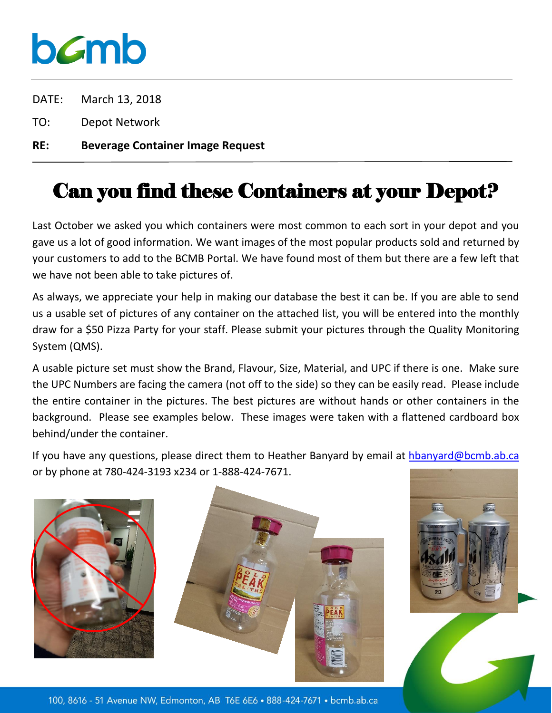## bamb

- DATE: March 13, 2018
- TO: Depot Network
- **RE: Beverage Container Image Request**

## Can you find these Containers at your Depot?

Last October we asked you which containers were most common to each sort in your depot and you gave us a lot of good information. We want images of the most popular products sold and returned by your customers to add to the BCMB Portal. We have found most of them but there are a few left that we have not been able to take pictures of.

As always, we appreciate your help in making our database the best it can be. If you are able to send us a usable set of pictures of any container on the attached list, you will be entered into the monthly draw for a \$50 Pizza Party for your staff. Please submit your pictures through the Quality Monitoring System (QMS).

A usable picture set must show the Brand, Flavour, Size, Material, and UPC if there is one. Make sure the UPC Numbers are facing the camera (not off to the side) so they can be easily read. Please include the entire container in the pictures. The best pictures are without hands or other containers in the background. Please see examples below. These images were taken with a flattened cardboard box behind/under the container.

If you have any questions, please direct them to Heather Banyard by email at [hbanyard@bcmb.ab.ca](mailto:hbanyard@bcmb.ab.ca) or by phone at 780-424-3193 x234 or 1-888-424-7671.





100, 8616 - 51 Avenue NW, Edmonton, AB T6E 6E6 . 888-424-7671 . bcmb.ab.ca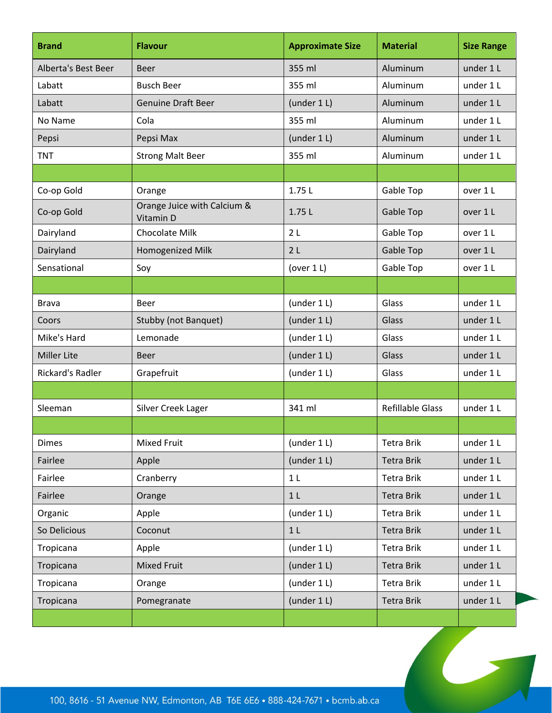| <b>Brand</b>        | <b>Flavour</b>                           | <b>Approximate Size</b> | <b>Material</b>         | <b>Size Range</b> |
|---------------------|------------------------------------------|-------------------------|-------------------------|-------------------|
| Alberta's Best Beer | <b>Beer</b>                              | 355 ml                  | Aluminum                | under 1 L         |
| Labatt              | <b>Busch Beer</b>                        | 355 ml                  | Aluminum                | under 1 L         |
| Labatt              | <b>Genuine Draft Beer</b>                | (under 1 L)             | Aluminum                | under 1 L         |
| No Name             | Cola                                     | 355 ml                  | Aluminum                | under 1 L         |
| Pepsi               | Pepsi Max                                | (under $1 L$ )          | Aluminum                | under 1 L         |
| <b>TNT</b>          | <b>Strong Malt Beer</b>                  | 355 ml                  | Aluminum                | under 1 L         |
|                     |                                          |                         |                         |                   |
| Co-op Gold          | Orange                                   | 1.75L                   | Gable Top               | over 1 L          |
| Co-op Gold          | Orange Juice with Calcium &<br>Vitamin D | 1.75L                   | Gable Top               | over 1 L          |
| Dairyland           | Chocolate Milk                           | 2 <sub>L</sub>          | Gable Top               | over 1 L          |
| Dairyland           | Homogenized Milk                         | 2L                      | Gable Top               | over 1 L          |
| Sensational         | Soy                                      | (over $1 L$ )           | Gable Top               | over 1 L          |
|                     |                                          |                         |                         |                   |
| <b>Brava</b>        | Beer                                     | (under $1 L$ )          | Glass                   | under 1 L         |
| Coors               | Stubby (not Banquet)                     | (under 1 L)             | Glass                   | under 1 L         |
| Mike's Hard         | Lemonade                                 | (under $1 L$ )          | Glass                   | under 1 L         |
| <b>Miller Lite</b>  | <b>Beer</b>                              | (under $1 L$ )          | Glass                   | under 1 L         |
| Rickard's Radler    | Grapefruit                               | (under $1 L$ )          | Glass                   | under 1 L         |
|                     |                                          |                         |                         |                   |
| Sleeman             | Silver Creek Lager                       | 341 ml                  | <b>Refillable Glass</b> | under 1 L         |
|                     |                                          |                         |                         |                   |
| <b>Dimes</b>        | Mixed Fruit                              | (under 1 L)             | <b>Tetra Brik</b>       | under 1 L         |
| Fairlee             | Apple                                    | (under 1 L)             | <b>Tetra Brik</b>       | under 1 L         |
| Fairlee             | Cranberry                                | 1 <sub>L</sub>          | <b>Tetra Brik</b>       | under 1 L         |
| Fairlee             | Orange                                   | 1 <sub>L</sub>          | <b>Tetra Brik</b>       | under 1 L         |
| Organic             | Apple                                    | (under 1 L)             | Tetra Brik              | under 1 L         |
| So Delicious        | Coconut                                  | 1 <sub>L</sub>          | <b>Tetra Brik</b>       | under 1 L         |
| Tropicana           | Apple                                    | (under 1 L)             | Tetra Brik              | under 1 L         |
| Tropicana           | <b>Mixed Fruit</b>                       | (under 1 L)             | <b>Tetra Brik</b>       | under 1 L         |
| Tropicana           | Orange                                   | (under 1 L)             | Tetra Brik              | under 1 L         |
| Tropicana           | Pomegranate                              | (under $1 L$ )          | <b>Tetra Brik</b>       | under 1 L         |
|                     |                                          |                         |                         |                   |